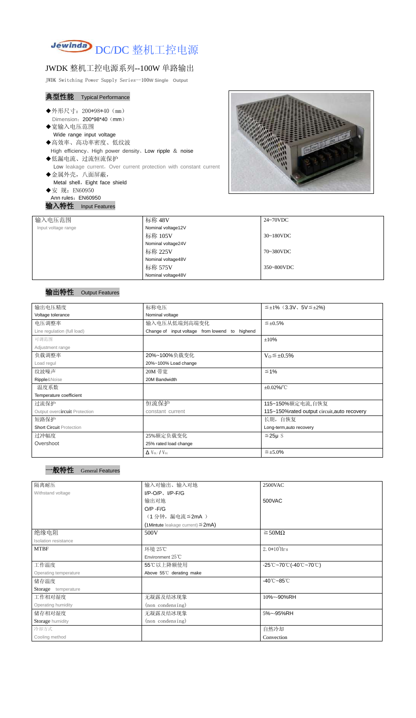

# JWDK 整机工控电源系列--100W 单路输出

JWDK Switching Power Supply Series--100**W Single Output**

### 典型性能 Typical Performance

- ◆外形尺寸: 200\*98\*40 (mm) Dimension: 200\*98\*40 (mm)
- ◆宽输入电压范围
	- Wide range input voltage
- ◆高效率、高功率密度、低纹波 High efficiency、High power density、Low ripple & noise
- ◆低漏电流、过流恒流保护 Low leakage current, Over current protection with constant current
- ◆金属外壳,八面屏蔽, Metal shell, Eight face shield ◆安 规: EN60950
- Ann rules: EN60950

输入特性 Input Features



## 输出特性 Output Features

#### 一般特性 General Features

| 输入电压范围              | 标称 48V             | 24~70VDC   |
|---------------------|--------------------|------------|
| Input voltage range | Nominal voltage12V |            |
|                     | 标称 105V            | 30~180VDC  |
|                     | Nominal voltage24V |            |
|                     | 标称 225V            | 70~380VDC  |
|                     | Nominal voltage48V |            |
|                     | 标称 575V            | 350~800VDC |
|                     | Nominal voltage48V |            |

| 输出电压精度                          | 标称电压                                           | $\leq \pm 1\%$ (3.3V, 5V $\leq \pm 2\%$ )    |  |
|---------------------------------|------------------------------------------------|----------------------------------------------|--|
| Voltage tolerance               | Nominal voltage                                |                                              |  |
| 电压调整率                           | 输入电压从低端到高端变化                                   | $\leq \pm 0.5\%$                             |  |
| Line regulation (full load)     | Change of input voltage from lowend to highend |                                              |  |
| 可调范围                            |                                                | ±10%                                         |  |
| Adjustment range                |                                                |                                              |  |
| 负载调整率                           | 20%~100%负载变化                                   | $V_0 \leq \pm 0.5\%$                         |  |
| Load regul                      | 20%~100% Load change                           |                                              |  |
| 纹波噪声                            | 20M 带宽                                         | $\leq 1\%$                                   |  |
| Ripple&Noise                    | 20M Bandwidth                                  |                                              |  |
| 温度系数                            |                                                | $\pm 0.02\%$ /°C                             |  |
| Temperature coefficient         |                                                |                                              |  |
| 过流保护                            | 恒流保护                                           | 115~150%额定电流,自恢复                             |  |
| Output overcircuit Protection   | constant current                               | 115~150% rated output circuit, auto recovery |  |
| 短路保护                            |                                                | 长期, 自恢复                                      |  |
| <b>Short Circuit Protection</b> |                                                | Long-term, auto recovery                     |  |
| 过冲幅度                            | 25%额定负载变化                                      | $≤25\mu$ S                                   |  |
| Overshoot                       | 25% rated load change                          |                                              |  |
|                                 | $\Delta$ V <sub>01</sub> /V <sub>01</sub>      | $\leq \pm 5.0\%$                             |  |

| 隔离耐压                  | 输入对输出、输入对地<br>2500VAC                  |                                                                               |
|-----------------------|----------------------------------------|-------------------------------------------------------------------------------|
| Withstand voltage     | $I/P$ -O/P, $I/P$ -F/G                 |                                                                               |
|                       | 输出对地                                   | 500VAC                                                                        |
|                       | $O/P - F/G$                            |                                                                               |
|                       | (1分钟,漏电流≦2mA)                          |                                                                               |
|                       | (1Mintute leakage current) $\leq$ 2mA) |                                                                               |
| 绝缘电阻                  | 500V                                   | $\geq$ 50M $\Omega$                                                           |
| Isolation resistance  |                                        |                                                                               |
| <b>MTBF</b>           | 环境 25℃                                 | $2.0*105$ Hrs                                                                 |
|                       | Environment 25°C                       |                                                                               |
| 工作温度                  | 55℃以上降额使用                              | $-25^{\circ}\text{C}-70^{\circ}\text{C}$ (-40 $\text{C}-70^{\circ}\text{C}$ ) |
| Operating temperature | Above 55°C derating make               |                                                                               |
| 储存温度                  |                                        | $-40^{\circ}$ C $-85^{\circ}$ C                                               |
| Storage temperature   |                                        |                                                                               |
| 工作相对湿度                | 无凝露及结冰现象                               | 10%~-90%RH                                                                    |
| Operating humidity    | (non condensing)                       |                                                                               |
| 储存相对湿度                | 无凝露及结冰现象                               | 5%~-95%RH                                                                     |
| Storage humidity      | (non condensing)                       |                                                                               |
| 冷却方式                  |                                        | 自然冷却                                                                          |
| Cooling method        |                                        | Convection                                                                    |